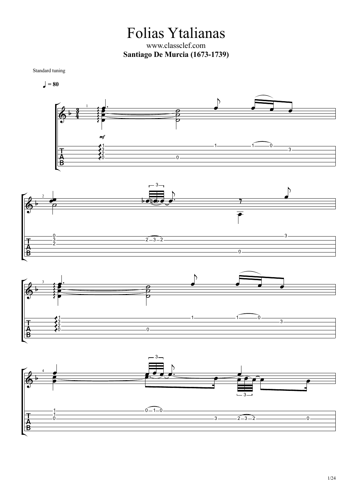Folias Ytalianas www.classclef.com **Santiago De Murcia (1673-1739)**

Standard tuning









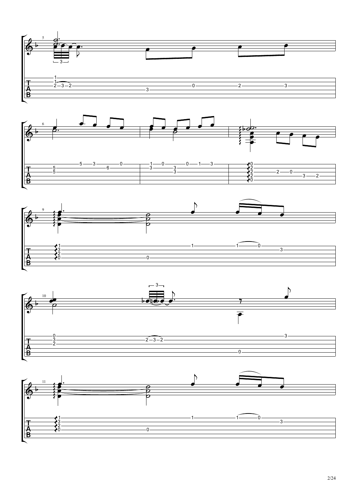







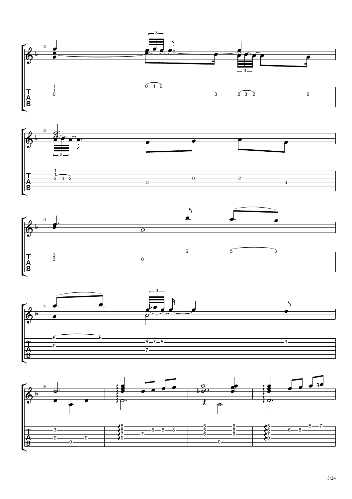







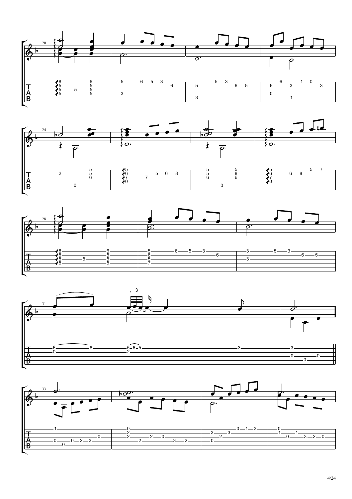







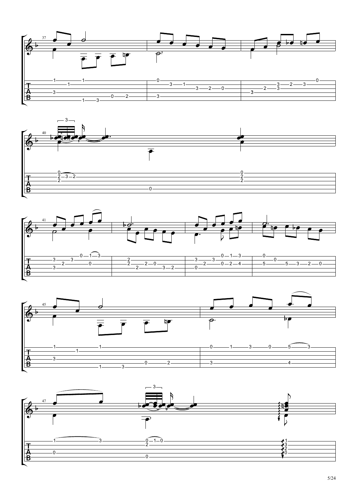







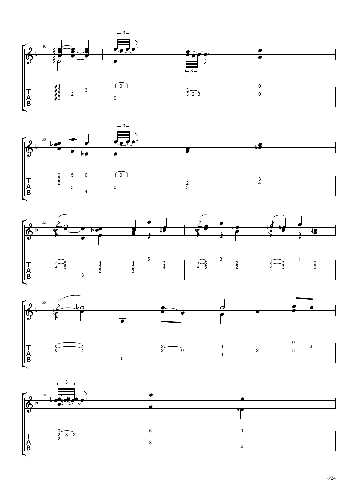







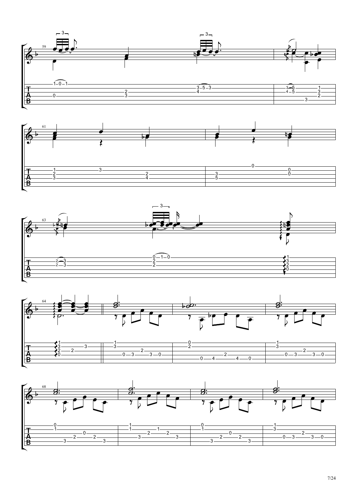







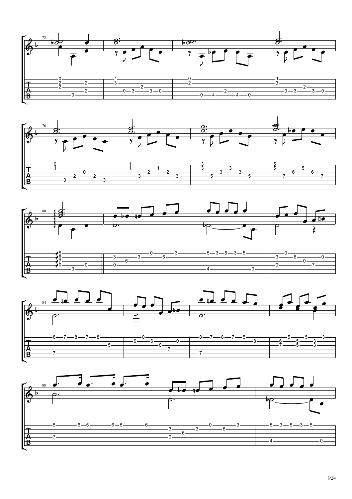







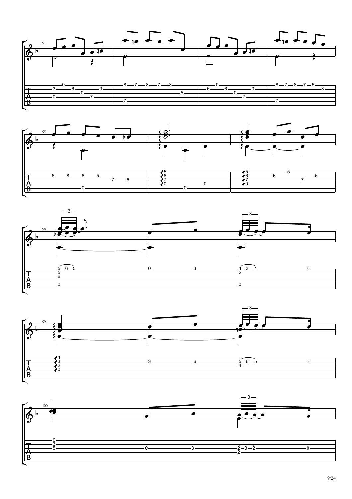







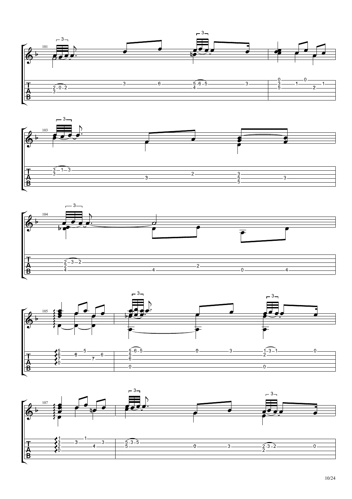







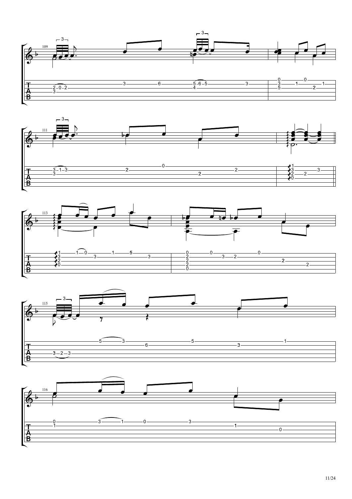







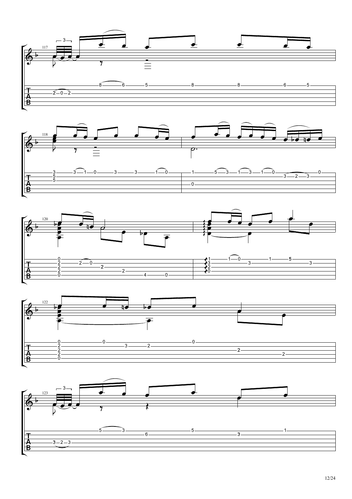



![](_page_11_Figure_2.jpeg)

![](_page_11_Figure_3.jpeg)

![](_page_11_Figure_4.jpeg)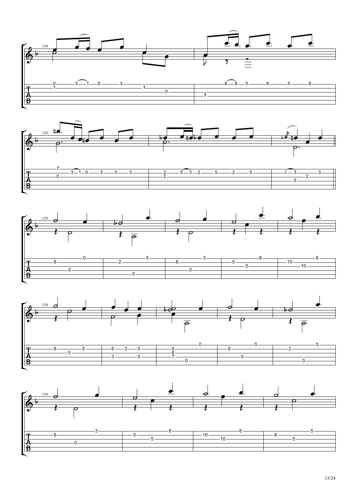![](_page_12_Figure_0.jpeg)

![](_page_12_Figure_1.jpeg)

![](_page_12_Figure_2.jpeg)

![](_page_12_Figure_3.jpeg)

![](_page_12_Figure_4.jpeg)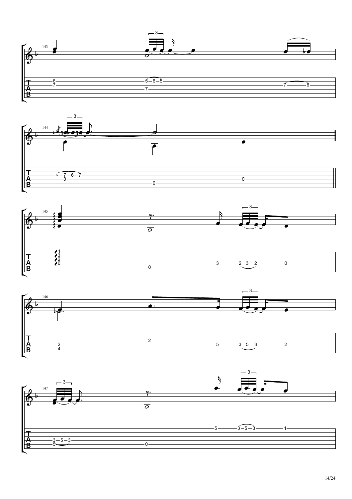![](_page_13_Figure_0.jpeg)

![](_page_13_Figure_1.jpeg)

![](_page_13_Figure_2.jpeg)

![](_page_13_Figure_3.jpeg)

![](_page_13_Figure_4.jpeg)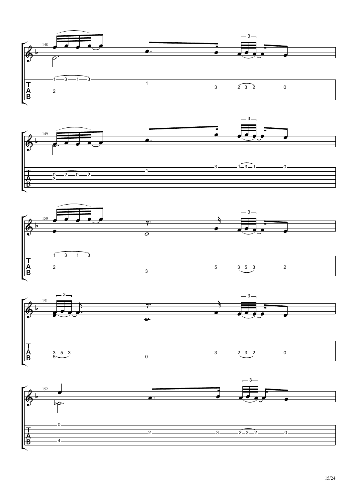![](_page_14_Figure_0.jpeg)

![](_page_14_Figure_1.jpeg)

![](_page_14_Figure_2.jpeg)

![](_page_14_Figure_3.jpeg)

![](_page_14_Figure_4.jpeg)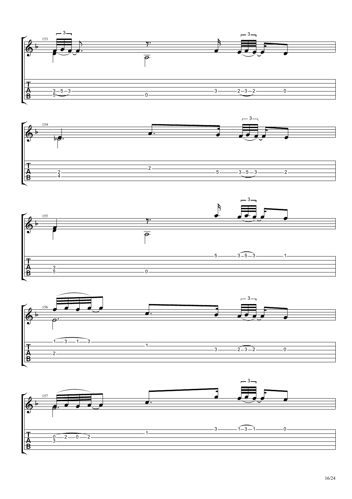![](_page_15_Figure_0.jpeg)

![](_page_15_Figure_1.jpeg)

![](_page_15_Figure_2.jpeg)

![](_page_15_Figure_3.jpeg)

![](_page_15_Figure_4.jpeg)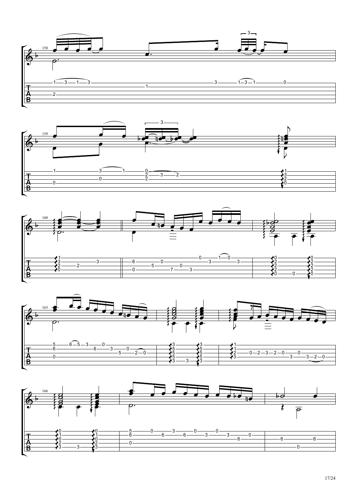![](_page_16_Figure_0.jpeg)

![](_page_16_Figure_1.jpeg)

![](_page_16_Figure_2.jpeg)

![](_page_16_Figure_3.jpeg)

![](_page_16_Figure_4.jpeg)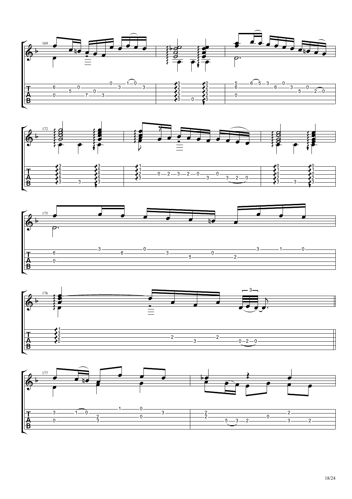![](_page_17_Figure_0.jpeg)

![](_page_17_Figure_1.jpeg)

![](_page_17_Figure_2.jpeg)

![](_page_17_Figure_3.jpeg)

![](_page_17_Figure_4.jpeg)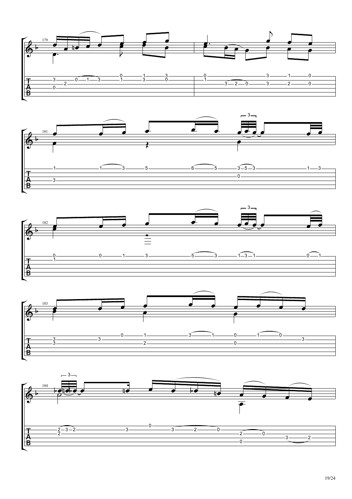![](_page_18_Figure_0.jpeg)

![](_page_18_Figure_1.jpeg)

![](_page_18_Figure_2.jpeg)

![](_page_18_Figure_3.jpeg)

![](_page_18_Figure_4.jpeg)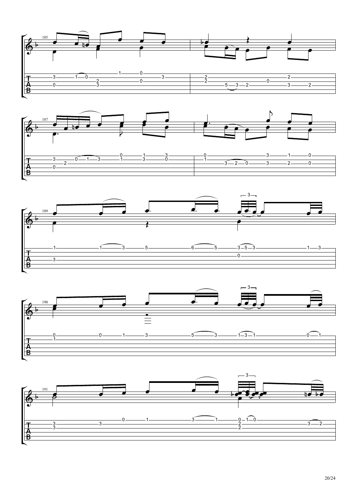![](_page_19_Figure_0.jpeg)

![](_page_19_Figure_1.jpeg)

![](_page_19_Figure_2.jpeg)

![](_page_19_Figure_3.jpeg)

![](_page_19_Figure_4.jpeg)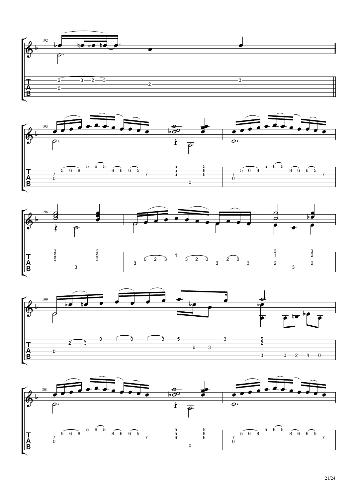![](_page_20_Figure_0.jpeg)

![](_page_20_Figure_1.jpeg)

![](_page_20_Figure_2.jpeg)

![](_page_20_Figure_3.jpeg)

![](_page_20_Figure_4.jpeg)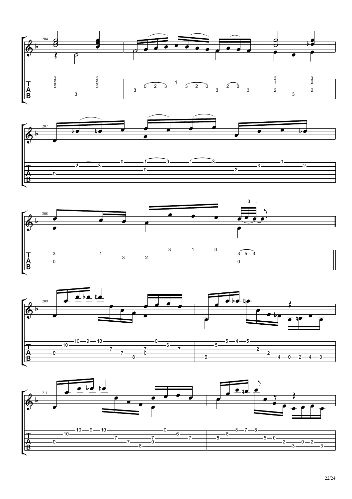![](_page_21_Figure_0.jpeg)

![](_page_21_Figure_1.jpeg)

![](_page_21_Figure_2.jpeg)

![](_page_21_Figure_3.jpeg)

![](_page_21_Figure_4.jpeg)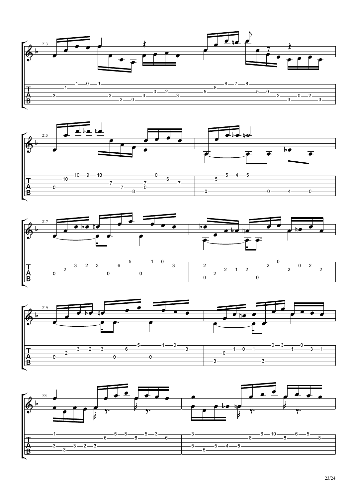![](_page_22_Figure_0.jpeg)

![](_page_22_Figure_1.jpeg)

![](_page_22_Figure_2.jpeg)

![](_page_22_Figure_3.jpeg)

![](_page_22_Figure_4.jpeg)